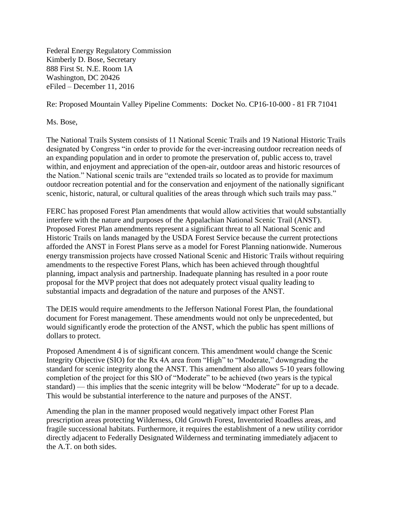Federal Energy Regulatory Commission Kimberly D. Bose, Secretary 888 First St. N.E. Room 1A Washington, DC 20426 eFiled – December 11, 2016

Re: Proposed Mountain Valley Pipeline Comments: Docket No. CP16-10-000 - 81 FR 71041

Ms. Bose,

The National Trails System consists of 11 National Scenic Trails and 19 National Historic Trails designated by Congress "in order to provide for the ever-increasing outdoor recreation needs of an expanding population and in order to promote the preservation of, public access to, travel within, and enjoyment and appreciation of the open-air, outdoor areas and historic resources of the Nation." National scenic trails are "extended trails so located as to provide for maximum outdoor recreation potential and for the conservation and enjoyment of the nationally significant scenic, historic, natural, or cultural qualities of the areas through which such trails may pass."

FERC has proposed Forest Plan amendments that would allow activities that would substantially interfere with the nature and purposes of the Appalachian National Scenic Trail (ANST). Proposed Forest Plan amendments represent a significant threat to all National Scenic and Historic Trails on lands managed by the USDA Forest Service because the current protections afforded the ANST in Forest Plans serve as a model for Forest Planning nationwide. Numerous energy transmission projects have crossed National Scenic and Historic Trails without requiring amendments to the respective Forest Plans, which has been achieved through thoughtful planning, impact analysis and partnership. Inadequate planning has resulted in a poor route proposal for the MVP project that does not adequately protect visual quality leading to substantial impacts and degradation of the nature and purposes of the ANST.

The DEIS would require amendments to the Jefferson National Forest Plan, the foundational document for Forest management. These amendments would not only be unprecedented, but would significantly erode the protection of the ANST, which the public has spent millions of dollars to protect.

Proposed Amendment 4 is of significant concern. This amendment would change the Scenic Integrity Objective (SIO) for the Rx 4A area from "High" to "Moderate," downgrading the standard for scenic integrity along the ANST. This amendment also allows 5-10 years following completion of the project for this SIO of "Moderate" to be achieved (two years is the typical standard) — this implies that the scenic integrity will be below "Moderate" for up to a decade. This would be substantial interference to the nature and purposes of the ANST.

Amending the plan in the manner proposed would negatively impact other Forest Plan prescription areas protecting Wilderness, Old Growth Forest, Inventoried Roadless areas, and fragile successional habitats. Furthermore, it requires the establishment of a new utility corridor directly adjacent to Federally Designated Wilderness and terminating immediately adjacent to the A.T. on both sides.